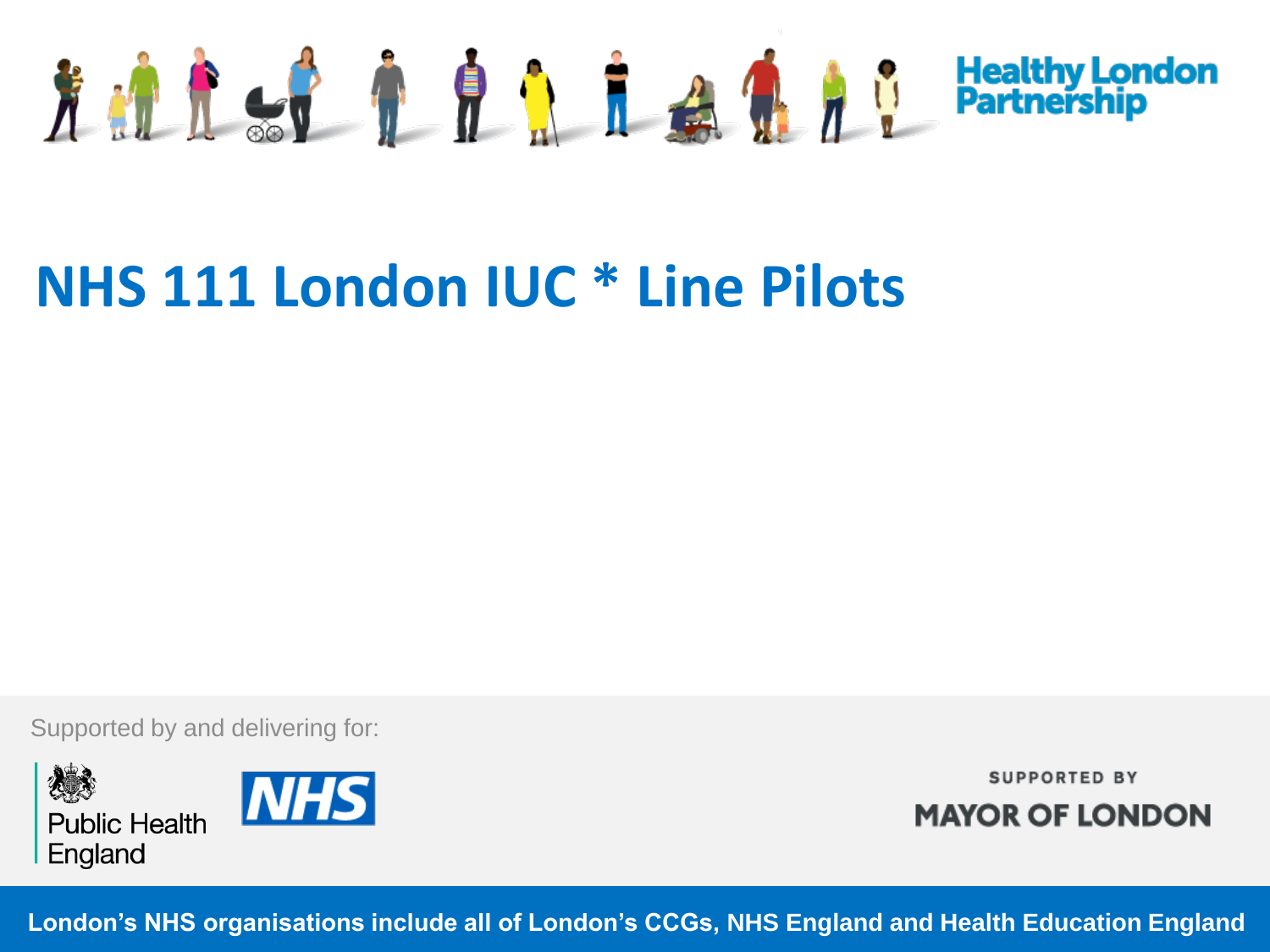

# **NHS 111 London IUC \* Line Pilots**

Supported by and delivering for:





**SUPPORTED BY MAYOR OF LONDON** 

**London's NHS organisations include all of London's CCGs, NHS England and Health Education England**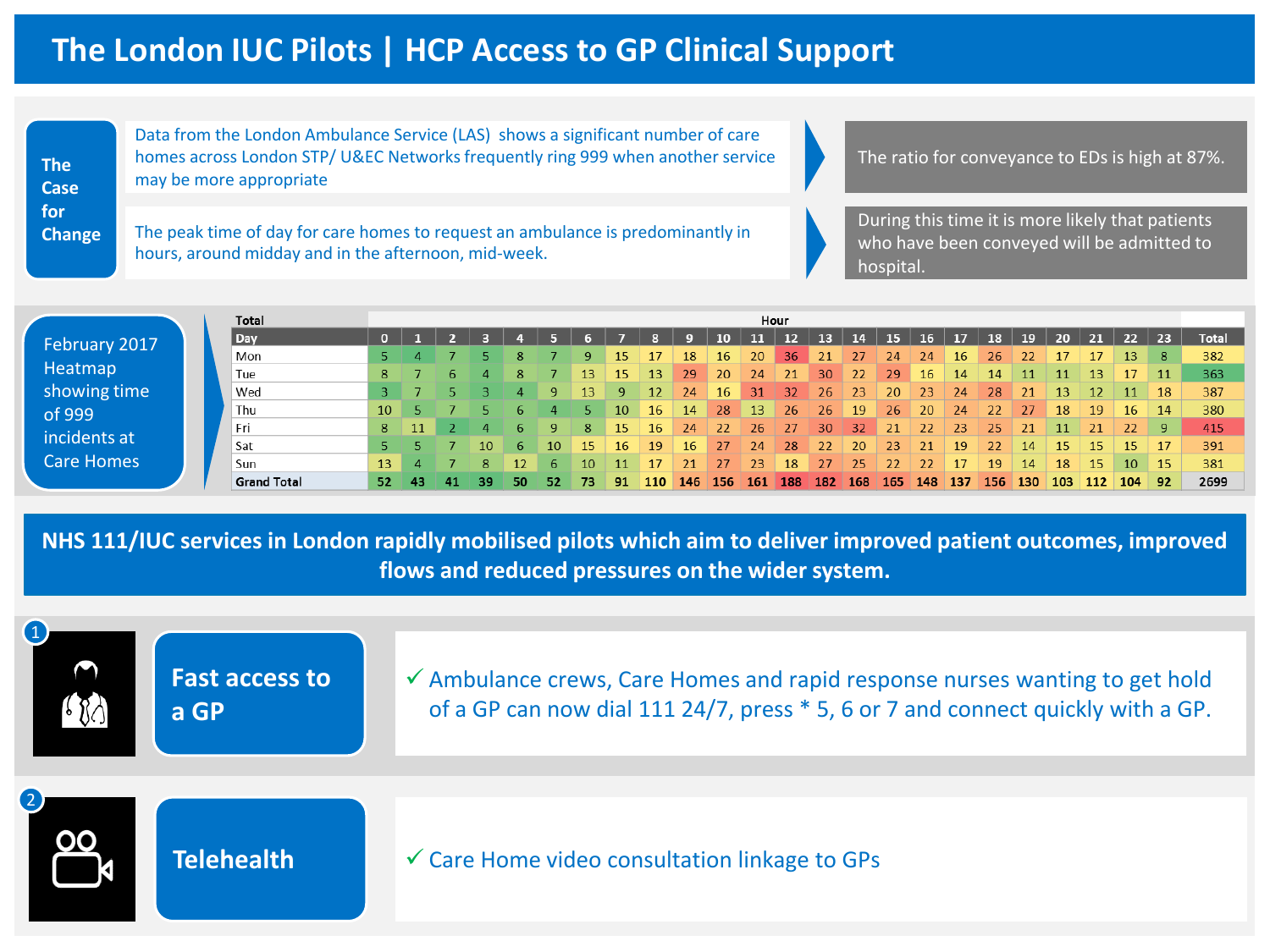## **The London IUC Pilots | HCP Access to GP Clinical Support**

**The Case for Change** Data from the London Ambulance Service (LAS) shows a significant number of care homes across London STP/ U&EC Networks frequently ring 999 when another service may be more appropriate

The peak time of day for care homes to request an ambulance is predominantly in hours, around midday and in the afternoon, mid-week.

The ratio for conveyance to EDs is high at 87%.

During this time it is more likely that patients who have been conveyed will be admitted to hospital.

|                   | Total              |    |     |    |     |     |      |     |          |     |     |           |      | Hour |                 |               |     |     |     |     |     |           |     |     |            |              |
|-------------------|--------------------|----|-----|----|-----|-----|------|-----|----------|-----|-----|-----------|------|------|-----------------|---------------|-----|-----|-----|-----|-----|-----------|-----|-----|------------|--------------|
| February 2017     | Day                |    |     |    |     |     |      |     |          |     |     | 10        |      | 12   | 13              | 14            | 15  | 16  | 17  | 18  | 19  | 20        | 21  | 22  | $\vert$ 23 | <b>Total</b> |
|                   | Mon                |    |     |    |     |     |      |     |          |     | 18  | 16        | 20   | 36   | 21              | 27.           | 24  | 24  | 16  | 26  | 22  |           |     | 13  | 8          | 382          |
| Heatmap           | Tue                | 8  |     |    |     | 8   |      | 13. | 15       | 13  | 29  | <b>20</b> | 24   | 21   | 30 <sup>°</sup> | 22            | 29  | 16  | 14  | 14  | 11  |           | 13  |     | 11         | 363          |
| showing time      | Wed                |    |     |    |     |     |      | 13  | <b>Q</b> | 12  | 24  | 16        | 31   | 32   | 26              | 23            | 20  | 23  | 24  | 28  | 21  | 13        |     |     | 18         | 387          |
| of 999            | Thu                | 10 |     |    |     |     |      |     | 10.      | 16. | -14 | -28       | -13- | 26   | 26              | <sup>19</sup> | 26  | 20  | 24  | 22  | 27  | <b>18</b> | -19 | -16 | $\vert$ 14 | 380          |
|                   | Fri                | 8  |     |    |     |     |      | 8   | 15.      | 16  | 24  | -22       | 26.  | -27  | 30              | 32            | 21  | 22  | 23  | 25  | 21  |           | 21  | 22  | -97        | 415          |
| incidents at      | Sat                |    |     |    | 10. | 6.  | 10.  | 15. | 16.      | -19 | 16. | 27        | -24  | 28   | 22              | 20.           | 23  | 21  | 19  | 22  | 14  | 15.       | -15 | -15 |            | 391          |
| <b>Care Homes</b> | Sun                |    |     |    | 8   | 12. | 6.   | 10  | 11       | 17  | 21  | 27        | 23   | 18   | 27              | 25            | 22  | 22  | 17  | 19  | 14  | 18        | 15  | 10  | -15        | 381          |
|                   | <b>Grand Total</b> | 52 | -43 | 41 | 39. | 50. | -52. | 73  | 91       | 110 | 146 | 156       | -161 | 188  | 182             | 168           | 165 | 148 | 137 | 156 | 130 | 103       | 112 | 104 | 92         | 2699         |

**NHS 111/IUC services in London rapidly mobilised pilots which aim to deliver improved patient outcomes, improved flows and reduced pressures on the wider system.** 

| $\mathbf 0$<br>$\bigcap$<br>680 | <b>Fast access to</b><br>a GP | $\checkmark$ Ambulance crews, Care Homes and rapid response nurses wanting to get hold<br>of a GP can now dial 111 24/7, press * 5, 6 or 7 and connect quickly with a GP. |
|---------------------------------|-------------------------------|---------------------------------------------------------------------------------------------------------------------------------------------------------------------------|
| 2                               | <b>Telehealth</b>             | $\checkmark$ Care Home video consultation linkage to GPs                                                                                                                  |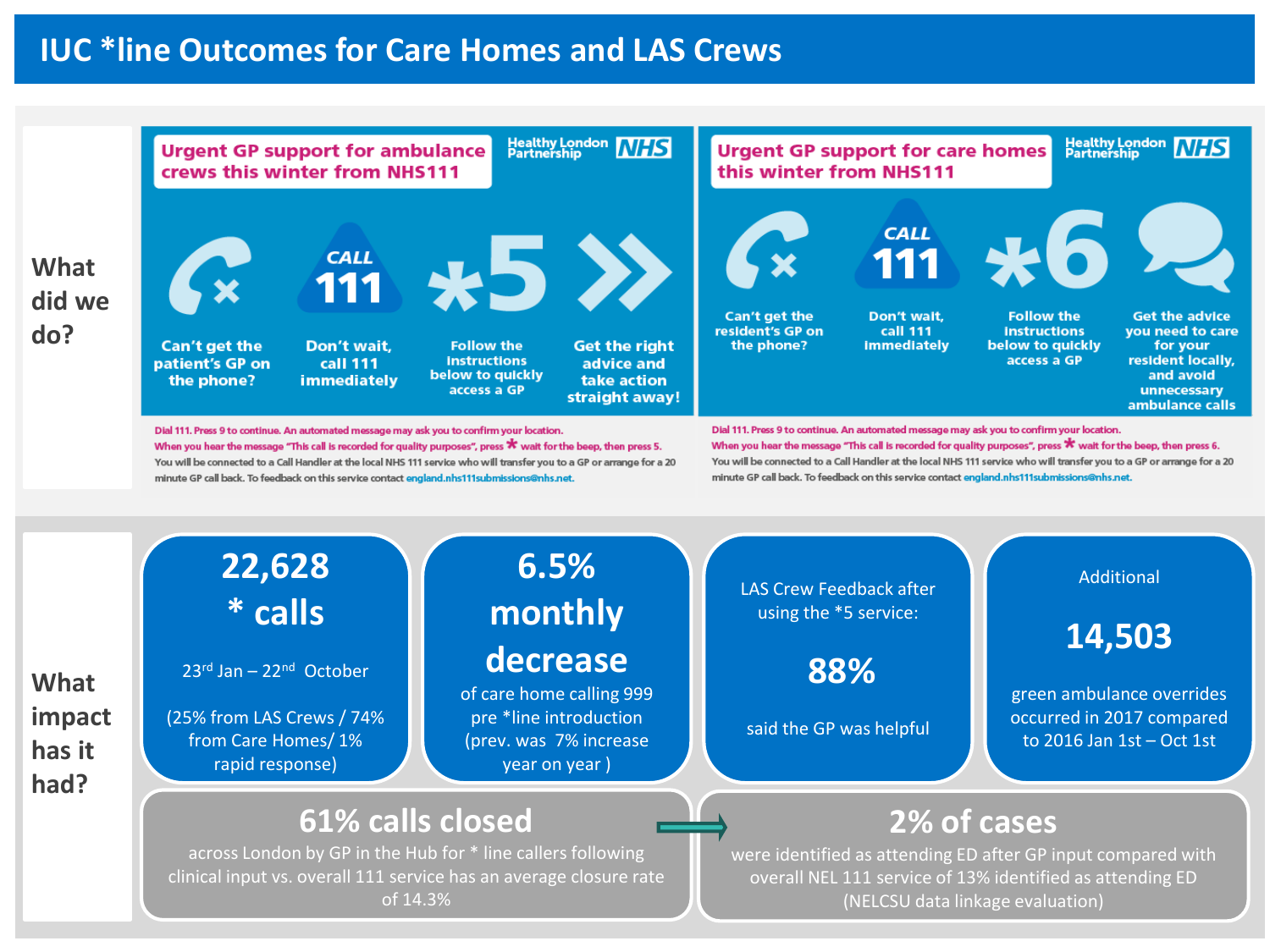#### **IUC \*line Outcomes for Care Homes and LAS Crews**

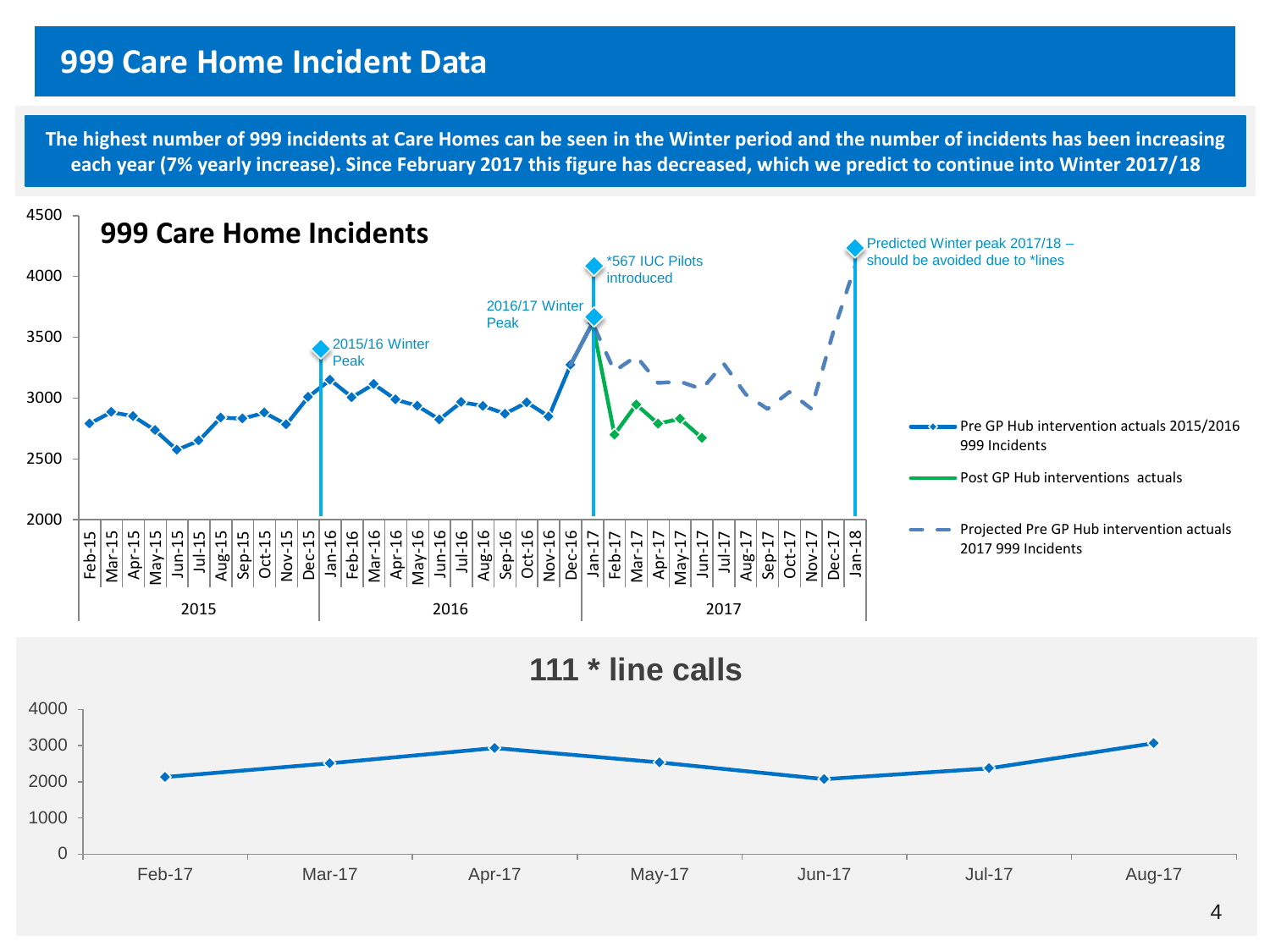#### **999 Care Home Incident Data**

**The highest number of 999 incidents at Care Homes can be seen in the Winter period and the number of incidents has been increasing each year (7% yearly increase). Since February 2017 this figure has decreased, which we predict to continue into Winter 2017/18**

![](_page_3_Figure_2.jpeg)

![](_page_3_Figure_3.jpeg)